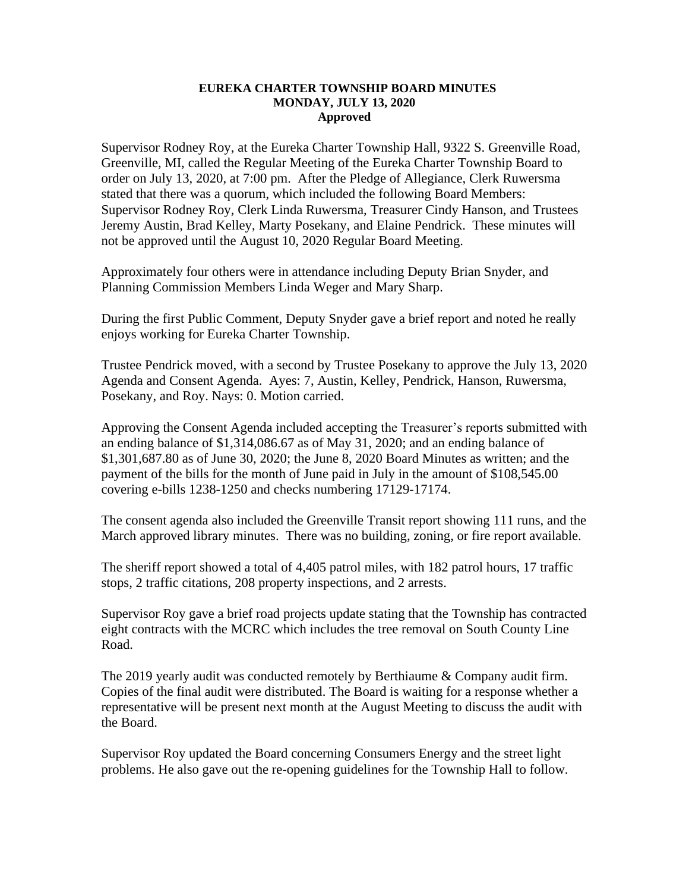## **EUREKA CHARTER TOWNSHIP BOARD MINUTES MONDAY, JULY 13, 2020 Approved**

Supervisor Rodney Roy, at the Eureka Charter Township Hall, 9322 S. Greenville Road, Greenville, MI, called the Regular Meeting of the Eureka Charter Township Board to order on July 13, 2020, at 7:00 pm. After the Pledge of Allegiance, Clerk Ruwersma stated that there was a quorum, which included the following Board Members: Supervisor Rodney Roy, Clerk Linda Ruwersma, Treasurer Cindy Hanson, and Trustees Jeremy Austin, Brad Kelley, Marty Posekany, and Elaine Pendrick. These minutes will not be approved until the August 10, 2020 Regular Board Meeting.

Approximately four others were in attendance including Deputy Brian Snyder, and Planning Commission Members Linda Weger and Mary Sharp.

During the first Public Comment, Deputy Snyder gave a brief report and noted he really enjoys working for Eureka Charter Township.

Trustee Pendrick moved, with a second by Trustee Posekany to approve the July 13, 2020 Agenda and Consent Agenda. Ayes: 7, Austin, Kelley, Pendrick, Hanson, Ruwersma, Posekany, and Roy. Nays: 0. Motion carried.

Approving the Consent Agenda included accepting the Treasurer's reports submitted with an ending balance of \$1,314,086.67 as of May 31, 2020; and an ending balance of \$1,301,687.80 as of June 30, 2020; the June 8, 2020 Board Minutes as written; and the payment of the bills for the month of June paid in July in the amount of \$108,545.00 covering e-bills 1238-1250 and checks numbering 17129-17174.

The consent agenda also included the Greenville Transit report showing 111 runs, and the March approved library minutes. There was no building, zoning, or fire report available.

The sheriff report showed a total of 4,405 patrol miles, with 182 patrol hours, 17 traffic stops, 2 traffic citations, 208 property inspections, and 2 arrests.

Supervisor Roy gave a brief road projects update stating that the Township has contracted eight contracts with the MCRC which includes the tree removal on South County Line Road.

The 2019 yearly audit was conducted remotely by Berthiaume & Company audit firm. Copies of the final audit were distributed. The Board is waiting for a response whether a representative will be present next month at the August Meeting to discuss the audit with the Board.

Supervisor Roy updated the Board concerning Consumers Energy and the street light problems. He also gave out the re-opening guidelines for the Township Hall to follow.